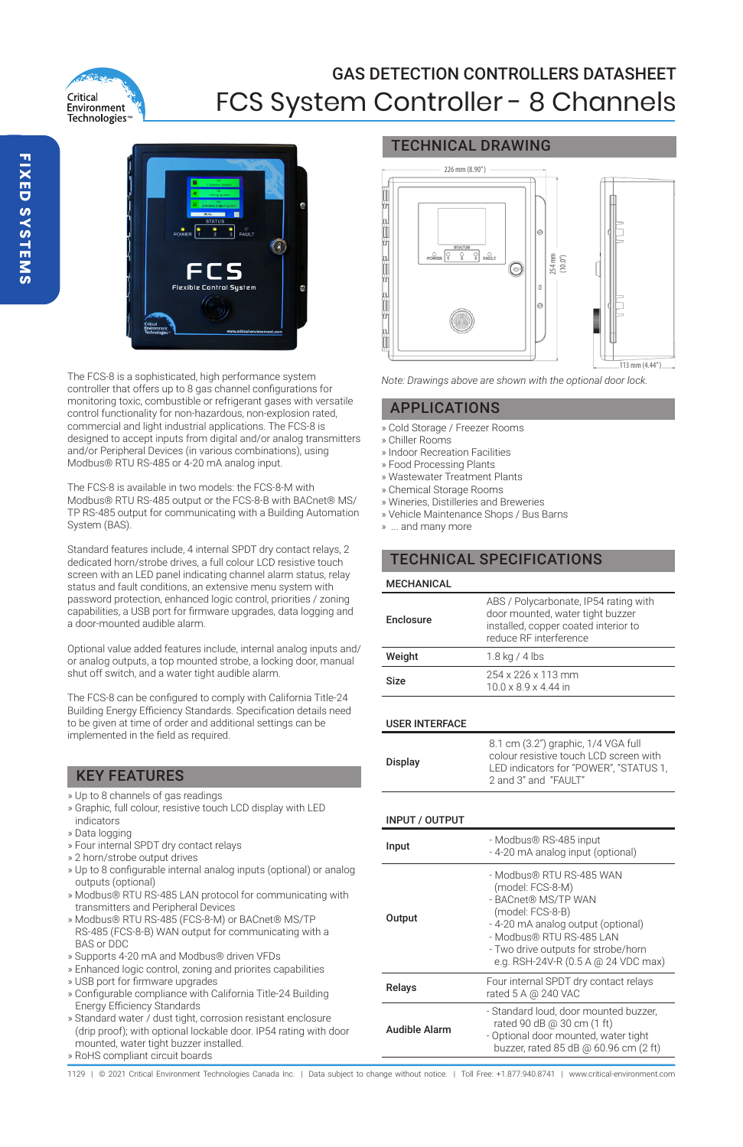

## GAS DETECTION CONTROLLERS DATASHEET FCS System Controller - 8 Channels



The FCS-8 is a sophisticated, high performance system controller that offers up to 8 gas channel configurations for monitoring toxic, combustible or refrigerant gases with versatile control functionality for non-hazardous, non-explosion rated, commercial and light industrial applications. The FCS-8 is designed to accept inputs from digital and/or analog transmitters and/or Peripheral Devices (in various combinations), using Modbus® RTU RS-485 or 4-20 mA analog input.

The FCS-8 is available in two models: the FCS-8-M with Modbus® RTU RS-485 output or the FCS-8-B with BACnet® MS/ TP RS-485 output for communicating with a Building Automation System (BAS).

Standard features include, 4 internal SPDT dry contact relays, 2 dedicated horn/strobe drives, a full colour LCD resistive touch screen with an LED panel indicating channel alarm status, relay status and fault conditions, an extensive menu system with password protection, enhanced logic control, priorities / zoning capabilities, a USB port for firmware upgrades, data logging and a door-mounted audible alarm.

Optional value added features include, internal analog inputs and/ or analog outputs, a top mounted strobe, a locking door, manual shut off switch, and a water tight audible alarm.

The FCS-8 can be configured to comply with California Title-24 Building Energy Efficiency Standards. Specification details need to be given at time of order and additional settings can be implemented in the field as required.

### KEY FEATURES

- » Up to 8 channels of gas readings
- » Graphic, full colour, resistive touch LCD display with LED indicators
- » Data logging
- » Four internal SPDT dry contact relays
- » 2 horn/strobe output drives
- » Up to 8 configurable internal analog inputs (optional) or analog outputs (optional)
- » Modbus® RTU RS-485 LAN protocol for communicating with transmitters and Peripheral Devices
- » Modbus® RTU RS-485 (FCS-8-M) or BACnet® MS/TP RS-485 (FCS-8-B) WAN output for communicating with a BAS or DDC
- » Supports 4-20 mA and Modbus® driven VFDs
- » Enhanced logic control, zoning and priorites capabilities
- » USB port for firmware upgrades
- » Configurable compliance with California Title-24 Building Energy Efficiency Standards
- » Standard water / dust tight, corrosion resistant enclosure (drip proof); with optional lockable door. IP54 rating with door mounted, water tight buzzer installed.
- » RoHS compliant circuit boards

## TECHNICAL DRAWING



*Note: Drawings above are shown with the optional door lock.*

### APPLICATIONS

- » Cold Storage / Freezer Rooms
- » Chiller Rooms
- » Indoor Recreation Facilities
- » Food Processing Plants
- » Wastewater Treatment Plants
- » Chemical Storage Rooms
- » Wineries, Distilleries and Breweries
- » Vehicle Maintenance Shops / Bus Barns
- » ... and many more

## TECHNICAL SPECIFICATIONS

| <b>MECHANICAL</b> |                                                                                                                                             |
|-------------------|---------------------------------------------------------------------------------------------------------------------------------------------|
| Enclosure         | ABS / Polycarbonate, IP54 rating with<br>door mounted, water tight buzzer<br>installed, copper coated interior to<br>reduce RF interference |
| Weight            | 1.8 kg / 4 lbs                                                                                                                              |
| Size              | 254 x 226 x 113 mm<br>$10.0 \times 8.9 \times 4.44$ in                                                                                      |

### USER INTERFACE

### INPUT / OUTPUT

| Input         | - Modbus® RS-485 input<br>- 4-20 mA analog input (optional)                                                                                                                                                                             |
|---------------|-----------------------------------------------------------------------------------------------------------------------------------------------------------------------------------------------------------------------------------------|
| Output        | - Modbus® RTU RS-485 WAN<br>(model: FCS-8-M)<br>- BACnet® MS/TP WAN<br>(model: FCS-8-B)<br>- 4-20 mA analog output (optional)<br>- Modbus® RTU RS-485 LAN<br>- Two drive outputs for strobe/horn<br>e.g. RSH-24V-R (0.5 A @ 24 VDC max) |
| Relays        | Four internal SPDT dry contact relays<br>rated 5 A @ 240 VAC                                                                                                                                                                            |
| Audible Alarm | - Standard loud, door mounted buzzer.<br>rated 90 dB @ 30 cm (1 ft)<br>- Optional door mounted, water tight<br>buzzer, rated 85 dB @ 60.96 cm (2 ft)                                                                                    |

1129 | © 2021 Critical Environment Technologies Canada Inc. | Data subject to change without notice. | Toll Free: +1.877.940.8741 | www.critical-environment.com